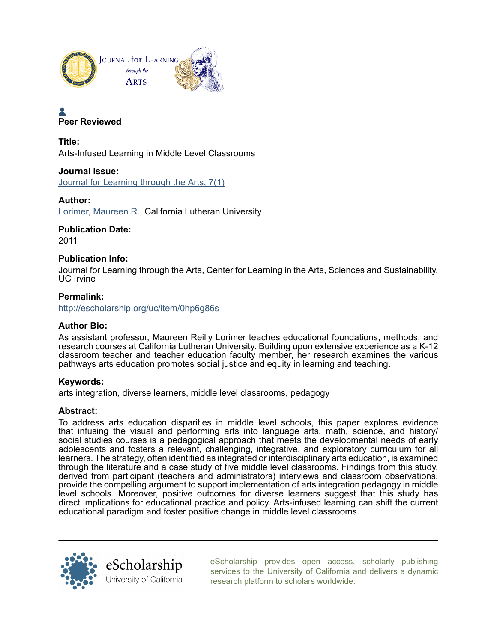

# Peer Reviewed

Title: Arts-Infused Learning in Middle Level Classrooms

## Journal Issue:

[Journal for Learning through the Arts, 7\(1\)](http://escholarship.org/uc/clta_lta?volume=7;issue=1)

## Author:

[Lorimer, Maureen R.](http://escholarship.org/uc/search?creator=Lorimer%2C%20Maureen%20R.), California Lutheran University

Publication Date: 2011

## Publication Info:

Journal for Learning through the Arts, Center for Learning in the Arts, Sciences and Sustainability, UC Irvine

# Permalink:

<http://escholarship.org/uc/item/0hp6g86s>

## Author Bio:

As assistant professor, Maureen Reilly Lorimer teaches educational foundations, methods, and research courses at California Lutheran University. Building upon extensive experience as a K-12 classroom teacher and teacher education faculty member, her research examines the various pathways arts education promotes social justice and equity in learning and teaching.

#### Keywords:

arts integration, diverse learners, middle level classrooms, pedagogy

#### Abstract:

To address arts education disparities in middle level schools, this paper explores evidence that infusing the visual and performing arts into language arts, math, science, and history/ social studies courses is a pedagogical approach that meets the developmental needs of early adolescents and fosters a relevant, challenging, integrative, and exploratory curriculum for all learners. The strategy, often identified as integrated or interdisciplinary arts education, is examined through the literature and a case study of five middle level classrooms. Findings from this study, derived from participant (teachers and administrators) interviews and classroom observations, provide the compelling argument to support implementation of arts integration pedagogy in middle level schools. Moreover, positive outcomes for diverse learners suggest that this study has direct implications for educational practice and policy. Arts-infused learning can shift the current educational paradigm and foster positive change in middle level classrooms.



[eScholarship provides open access, scholarly publishing](http://escholarship.org) [services to the University of California and delivers a dynamic](http://escholarship.org) [research platform to scholars worldwide.](http://escholarship.org)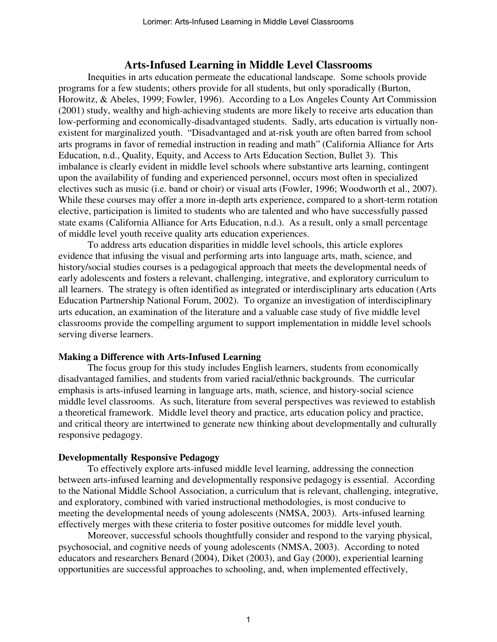## **Arts-Infused Learning in Middle Level Classrooms**

Inequities in arts education permeate the educational landscape. Some schools provide programs for a few students; others provide for all students, but only sporadically (Burton, Horowitz, & Abeles, 1999; Fowler, 1996). According to a Los Angeles County Art Commission (2001) study, wealthy and high-achieving students are more likely to receive arts education than low-performing and economically-disadvantaged students. Sadly, arts education is virtually nonexistent for marginalized youth. "Disadvantaged and at-risk youth are often barred from school arts programs in favor of remedial instruction in reading and math" (California Alliance for Arts Education, n.d., Quality, Equity, and Access to Arts Education Section, Bullet 3). This imbalance is clearly evident in middle level schools where substantive arts learning, contingent upon the availability of funding and experienced personnel, occurs most often in specialized electives such as music (i.e. band or choir) or visual arts (Fowler, 1996; Woodworth et al., 2007). While these courses may offer a more in-depth arts experience, compared to a short-term rotation elective, participation is limited to students who are talented and who have successfully passed state exams (California Alliance for Arts Education, n.d.). As a result, only a small percentage of middle level youth receive quality arts education experiences.

 To address arts education disparities in middle level schools, this article explores evidence that infusing the visual and performing arts into language arts, math, science, and history/social studies courses is a pedagogical approach that meets the developmental needs of early adolescents and fosters a relevant, challenging, integrative, and exploratory curriculum to all learners. The strategy is often identified as integrated or interdisciplinary arts education (Arts Education Partnership National Forum, 2002). To organize an investigation of interdisciplinary arts education, an examination of the literature and a valuable case study of five middle level classrooms provide the compelling argument to support implementation in middle level schools serving diverse learners.

## **Making a Difference with Arts-Infused Learning**

 The focus group for this study includes English learners, students from economically disadvantaged families, and students from varied racial/ethnic backgrounds. The curricular emphasis is arts-infused learning in language arts, math, science, and history-social science middle level classrooms. As such, literature from several perspectives was reviewed to establish a theoretical framework. Middle level theory and practice, arts education policy and practice, and critical theory are intertwined to generate new thinking about developmentally and culturally responsive pedagogy.

#### **Developmentally Responsive Pedagogy**

To effectively explore arts-infused middle level learning, addressing the connection between arts-infused learning and developmentally responsive pedagogy is essential. According to the National Middle School Association, a curriculum that is relevant, challenging, integrative, and exploratory, combined with varied instructional methodologies, is most conducive to meeting the developmental needs of young adolescents (NMSA, 2003). Arts-infused learning effectively merges with these criteria to foster positive outcomes for middle level youth.

 Moreover, successful schools thoughtfully consider and respond to the varying physical, psychosocial, and cognitive needs of young adolescents (NMSA, 2003). According to noted educators and researchers Benard (2004), Diket (2003), and Gay (2000), experiential learning opportunities are successful approaches to schooling, and, when implemented effectively,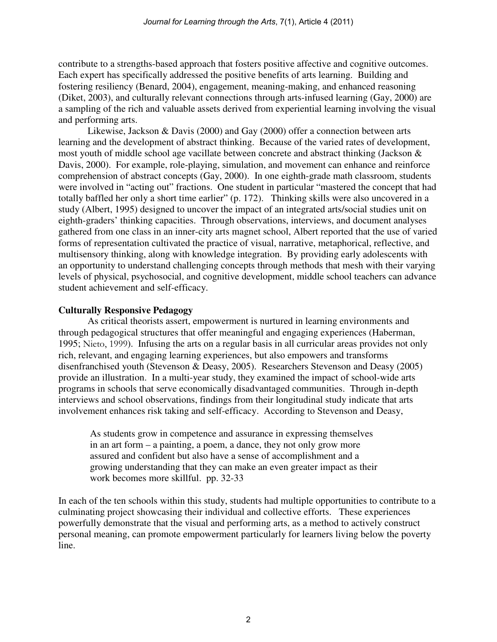contribute to a strengths-based approach that fosters positive affective and cognitive outcomes. Each expert has specifically addressed the positive benefits of arts learning. Building and fostering resiliency (Benard, 2004), engagement, meaning-making, and enhanced reasoning (Diket, 2003), and culturally relevant connections through arts-infused learning (Gay, 2000) are a sampling of the rich and valuable assets derived from experiential learning involving the visual and performing arts.

 Likewise, Jackson & Davis (2000) and Gay (2000) offer a connection between arts learning and the development of abstract thinking. Because of the varied rates of development, most youth of middle school age vacillate between concrete and abstract thinking (Jackson & Davis, 2000). For example, role-playing, simulation, and movement can enhance and reinforce comprehension of abstract concepts (Gay, 2000). In one eighth-grade math classroom, students were involved in "acting out" fractions. One student in particular "mastered the concept that had totally baffled her only a short time earlier" (p. 172). Thinking skills were also uncovered in a study (Albert, 1995) designed to uncover the impact of an integrated arts/social studies unit on eighth-graders' thinking capacities. Through observations, interviews, and document analyses gathered from one class in an inner-city arts magnet school, Albert reported that the use of varied forms of representation cultivated the practice of visual, narrative, metaphorical, reflective, and multisensory thinking, along with knowledge integration. By providing early adolescents with an opportunity to understand challenging concepts through methods that mesh with their varying levels of physical, psychosocial, and cognitive development, middle school teachers can advance student achievement and self-efficacy.

## **Culturally Responsive Pedagogy**

As critical theorists assert, empowerment is nurtured in learning environments and through pedagogical structures that offer meaningful and engaging experiences (Haberman, 1995; Nieto, 1999). Infusing the arts on a regular basis in all curricular areas provides not only rich, relevant, and engaging learning experiences, but also empowers and transforms disenfranchised youth (Stevenson & Deasy, 2005). Researchers Stevenson and Deasy (2005) provide an illustration. In a multi-year study, they examined the impact of school-wide arts programs in schools that serve economically disadvantaged communities. Through in-depth interviews and school observations, findings from their longitudinal study indicate that arts involvement enhances risk taking and self-efficacy. According to Stevenson and Deasy,

 As students grow in competence and assurance in expressing themselves in an art form – a painting, a poem, a dance, they not only grow more assured and confident but also have a sense of accomplishment and a growing understanding that they can make an even greater impact as their work becomes more skillful. pp. 32-33

In each of the ten schools within this study, students had multiple opportunities to contribute to a culminating project showcasing their individual and collective efforts. These experiences powerfully demonstrate that the visual and performing arts, as a method to actively construct personal meaning, can promote empowerment particularly for learners living below the poverty line.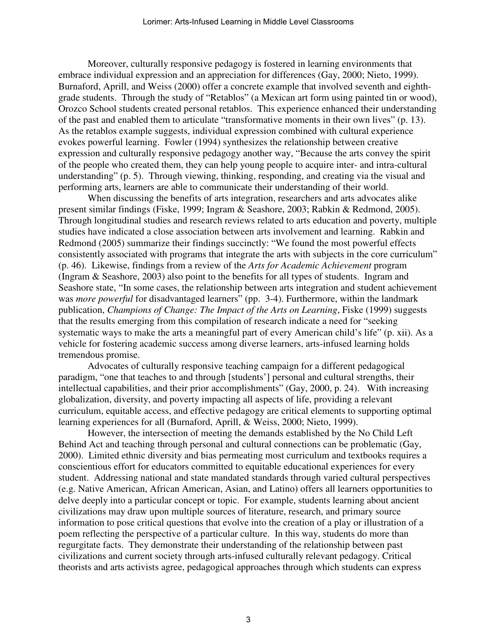Moreover, culturally responsive pedagogy is fostered in learning environments that embrace individual expression and an appreciation for differences (Gay, 2000; Nieto, 1999). Burnaford, Aprill, and Weiss (2000) offer a concrete example that involved seventh and eighthgrade students. Through the study of "Retablos" (a Mexican art form using painted tin or wood), Orozco School students created personal retablos. This experience enhanced their understanding of the past and enabled them to articulate "transformative moments in their own lives" (p. 13). As the retablos example suggests, individual expression combined with cultural experience evokes powerful learning. Fowler (1994) synthesizes the relationship between creative expression and culturally responsive pedagogy another way, "Because the arts convey the spirit of the people who created them, they can help young people to acquire inter- and intra-cultural understanding" (p. 5). Through viewing, thinking, responding, and creating via the visual and performing arts, learners are able to communicate their understanding of their world.

When discussing the benefits of arts integration, researchers and arts advocates alike present similar findings (Fiske, 1999; Ingram & Seashore, 2003; Rabkin & Redmond, 2005). Through longitudinal studies and research reviews related to arts education and poverty, multiple studies have indicated a close association between arts involvement and learning. Rabkin and Redmond (2005) summarize their findings succinctly: "We found the most powerful effects consistently associated with programs that integrate the arts with subjects in the core curriculum" (p. 46). Likewise, findings from a review of the *Arts for Academic Achievement* program (Ingram & Seashore, 2003) also point to the benefits for all types of students. Ingram and Seashore state, "In some cases, the relationship between arts integration and student achievement was *more powerful* for disadvantaged learners" (pp. 3-4). Furthermore, within the landmark publication, *Champions of Change: The Impact of the Arts on Learning*, Fiske (1999) suggests that the results emerging from this compilation of research indicate a need for "seeking systematic ways to make the arts a meaningful part of every American child's life" (p. xii). As a vehicle for fostering academic success among diverse learners, arts-infused learning holds tremendous promise.

 Advocates of culturally responsive teaching campaign for a different pedagogical paradigm, "one that teaches to and through [students'] personal and cultural strengths, their intellectual capabilities, and their prior accomplishments" (Gay, 2000, p. 24). With increasing globalization, diversity, and poverty impacting all aspects of life, providing a relevant curriculum, equitable access, and effective pedagogy are critical elements to supporting optimal learning experiences for all (Burnaford, Aprill, & Weiss, 2000; Nieto, 1999).

 However, the intersection of meeting the demands established by the No Child Left Behind Act and teaching through personal and cultural connections can be problematic (Gay, 2000). Limited ethnic diversity and bias permeating most curriculum and textbooks requires a conscientious effort for educators committed to equitable educational experiences for every student. Addressing national and state mandated standards through varied cultural perspectives (e.g. Native American, African American, Asian, and Latino) offers all learners opportunities to delve deeply into a particular concept or topic. For example, students learning about ancient civilizations may draw upon multiple sources of literature, research, and primary source information to pose critical questions that evolve into the creation of a play or illustration of a poem reflecting the perspective of a particular culture. In this way, students do more than regurgitate facts. They demonstrate their understanding of the relationship between past civilizations and current society through arts-infused culturally relevant pedagogy. Critical theorists and arts activists agree, pedagogical approaches through which students can express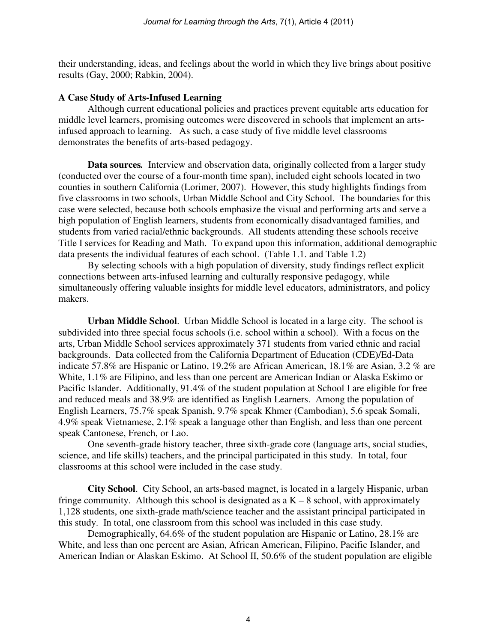their understanding, ideas, and feelings about the world in which they live brings about positive results (Gay, 2000; Rabkin, 2004).

#### **A Case Study of Arts-Infused Learning**

Although current educational policies and practices prevent equitable arts education for middle level learners, promising outcomes were discovered in schools that implement an artsinfused approach to learning. As such, a case study of five middle level classrooms demonstrates the benefits of arts-based pedagogy.

**Data sources***.* Interview and observation data, originally collected from a larger study (conducted over the course of a four-month time span), included eight schools located in two counties in southern California (Lorimer, 2007). However, this study highlights findings from five classrooms in two schools, Urban Middle School and City School. The boundaries for this case were selected, because both schools emphasize the visual and performing arts and serve a high population of English learners, students from economically disadvantaged families, and students from varied racial/ethnic backgrounds. All students attending these schools receive Title I services for Reading and Math. To expand upon this information, additional demographic data presents the individual features of each school. (Table 1.1. and Table 1.2)

 By selecting schools with a high population of diversity, study findings reflect explicit connections between arts-infused learning and culturally responsive pedagogy, while simultaneously offering valuable insights for middle level educators, administrators, and policy makers.

**Urban Middle School**. Urban Middle School is located in a large city. The school is subdivided into three special focus schools (i.e. school within a school). With a focus on the arts, Urban Middle School services approximately 371 students from varied ethnic and racial backgrounds. Data collected from the California Department of Education (CDE)/Ed-Data indicate 57.8% are Hispanic or Latino, 19.2% are African American, 18.1% are Asian, 3.2 % are White, 1.1% are Filipino, and less than one percent are American Indian or Alaska Eskimo or Pacific Islander. Additionally, 91.4% of the student population at School I are eligible for free and reduced meals and 38.9% are identified as English Learners. Among the population of English Learners, 75.7% speak Spanish, 9.7% speak Khmer (Cambodian), 5.6 speak Somali, 4.9% speak Vietnamese, 2.1% speak a language other than English, and less than one percent speak Cantonese, French, or Lao.

 One seventh-grade history teacher, three sixth-grade core (language arts, social studies, science, and life skills) teachers, and the principal participated in this study. In total, four classrooms at this school were included in the case study.

**City School**. City School, an arts-based magnet, is located in a largely Hispanic, urban fringe community. Although this school is designated as  $a K - 8$  school, with approximately 1,128 students, one sixth-grade math/science teacher and the assistant principal participated in this study. In total, one classroom from this school was included in this case study.

 Demographically, 64.6% of the student population are Hispanic or Latino, 28.1% are White, and less than one percent are Asian, African American, Filipino, Pacific Islander, and American Indian or Alaskan Eskimo. At School II, 50.6% of the student population are eligible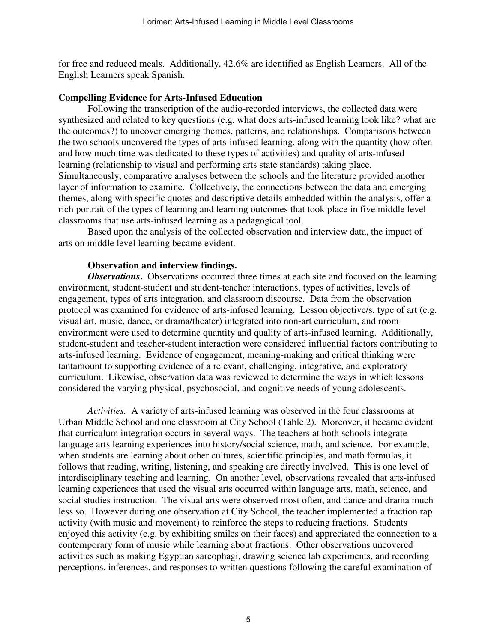for free and reduced meals. Additionally, 42.6% are identified as English Learners. All of the English Learners speak Spanish.

#### **Compelling Evidence for Arts-Infused Education**

Following the transcription of the audio-recorded interviews, the collected data were synthesized and related to key questions (e.g. what does arts-infused learning look like? what are the outcomes?) to uncover emerging themes, patterns, and relationships. Comparisons between the two schools uncovered the types of arts-infused learning, along with the quantity (how often and how much time was dedicated to these types of activities) and quality of arts-infused learning (relationship to visual and performing arts state standards) taking place. Simultaneously, comparative analyses between the schools and the literature provided another layer of information to examine. Collectively, the connections between the data and emerging themes, along with specific quotes and descriptive details embedded within the analysis, offer a rich portrait of the types of learning and learning outcomes that took place in five middle level classrooms that use arts-infused learning as a pedagogical tool.

 Based upon the analysis of the collected observation and interview data, the impact of arts on middle level learning became evident.

#### **Observation and interview findings.**

*Observations*. Observations occurred three times at each site and focused on the learning environment, student-student and student-teacher interactions, types of activities, levels of engagement, types of arts integration, and classroom discourse. Data from the observation protocol was examined for evidence of arts-infused learning. Lesson objective/s, type of art (e.g. visual art, music, dance, or drama/theater) integrated into non-art curriculum, and room environment were used to determine quantity and quality of arts-infused learning. Additionally, student-student and teacher-student interaction were considered influential factors contributing to arts-infused learning. Evidence of engagement, meaning-making and critical thinking were tantamount to supporting evidence of a relevant, challenging, integrative, and exploratory curriculum. Likewise, observation data was reviewed to determine the ways in which lessons considered the varying physical, psychosocial, and cognitive needs of young adolescents.

*Activities.* A variety of arts-infused learning was observed in the four classrooms at Urban Middle School and one classroom at City School (Table 2). Moreover, it became evident that curriculum integration occurs in several ways. The teachers at both schools integrate language arts learning experiences into history/social science, math, and science. For example, when students are learning about other cultures, scientific principles, and math formulas, it follows that reading, writing, listening, and speaking are directly involved. This is one level of interdisciplinary teaching and learning. On another level, observations revealed that arts-infused learning experiences that used the visual arts occurred within language arts, math, science, and social studies instruction. The visual arts were observed most often, and dance and drama much less so. However during one observation at City School, the teacher implemented a fraction rap activity (with music and movement) to reinforce the steps to reducing fractions. Students enjoyed this activity (e.g. by exhibiting smiles on their faces) and appreciated the connection to a contemporary form of music while learning about fractions. Other observations uncovered activities such as making Egyptian sarcophagi, drawing science lab experiments, and recording perceptions, inferences, and responses to written questions following the careful examination of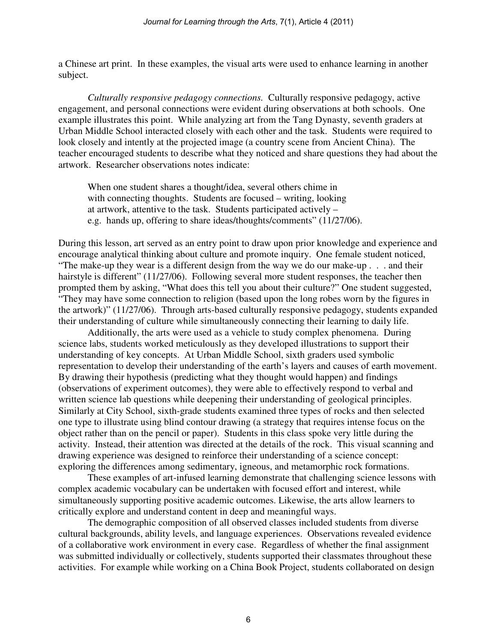a Chinese art print. In these examples, the visual arts were used to enhance learning in another subject.

*Culturally responsive pedagogy connections.* Culturally responsive pedagogy, active engagement, and personal connections were evident during observations at both schools. One example illustrates this point. While analyzing art from the Tang Dynasty, seventh graders at Urban Middle School interacted closely with each other and the task. Students were required to look closely and intently at the projected image (a country scene from Ancient China). The teacher encouraged students to describe what they noticed and share questions they had about the artwork. Researcher observations notes indicate:

When one student shares a thought/idea, several others chime in with connecting thoughts. Students are focused – writing, looking at artwork, attentive to the task. Students participated actively – e.g. hands up, offering to share ideas/thoughts/comments" (11/27/06).

During this lesson, art served as an entry point to draw upon prior knowledge and experience and encourage analytical thinking about culture and promote inquiry. One female student noticed, "The make-up they wear is a different design from the way we do our make-up . . . and their hairstyle is different" (11/27/06). Following several more student responses, the teacher then prompted them by asking, "What does this tell you about their culture?" One student suggested, "They may have some connection to religion (based upon the long robes worn by the figures in the artwork)" (11/27/06). Through arts-based culturally responsive pedagogy, students expanded their understanding of culture while simultaneously connecting their learning to daily life.

 Additionally, the arts were used as a vehicle to study complex phenomena. During science labs, students worked meticulously as they developed illustrations to support their understanding of key concepts. At Urban Middle School, sixth graders used symbolic representation to develop their understanding of the earth's layers and causes of earth movement. By drawing their hypothesis (predicting what they thought would happen) and findings (observations of experiment outcomes), they were able to effectively respond to verbal and written science lab questions while deepening their understanding of geological principles. Similarly at City School, sixth-grade students examined three types of rocks and then selected one type to illustrate using blind contour drawing (a strategy that requires intense focus on the object rather than on the pencil or paper). Students in this class spoke very little during the activity. Instead, their attention was directed at the details of the rock. This visual scanning and drawing experience was designed to reinforce their understanding of a science concept: exploring the differences among sedimentary, igneous, and metamorphic rock formations.

 These examples of art-infused learning demonstrate that challenging science lessons with complex academic vocabulary can be undertaken with focused effort and interest, while simultaneously supporting positive academic outcomes. Likewise, the arts allow learners to critically explore and understand content in deep and meaningful ways.

 The demographic composition of all observed classes included students from diverse cultural backgrounds, ability levels, and language experiences. Observations revealed evidence of a collaborative work environment in every case. Regardless of whether the final assignment was submitted individually or collectively, students supported their classmates throughout these activities. For example while working on a China Book Project, students collaborated on design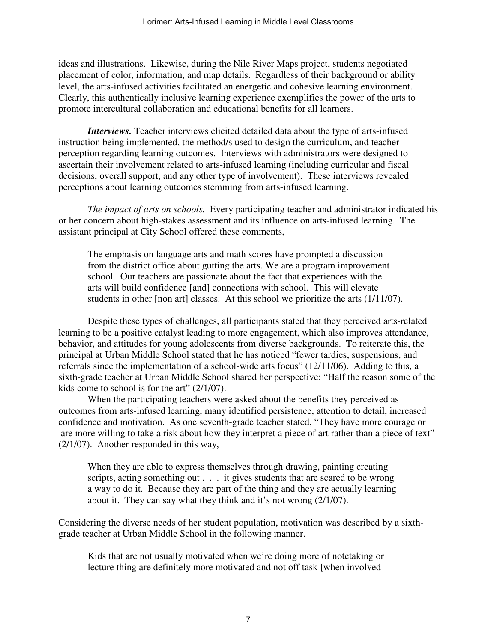ideas and illustrations. Likewise, during the Nile River Maps project, students negotiated placement of color, information, and map details. Regardless of their background or ability level, the arts-infused activities facilitated an energetic and cohesive learning environment. Clearly, this authentically inclusive learning experience exemplifies the power of the arts to promote intercultural collaboration and educational benefits for all learners.

*Interviews.* Teacher interviews elicited detailed data about the type of arts-infused instruction being implemented, the method/s used to design the curriculum, and teacher perception regarding learning outcomes. Interviews with administrators were designed to ascertain their involvement related to arts-infused learning (including curricular and fiscal decisions, overall support, and any other type of involvement). These interviews revealed perceptions about learning outcomes stemming from arts-infused learning.

*The impact of arts on schools.* Every participating teacher and administrator indicated his or her concern about high-stakes assessment and its influence on arts-infused learning. The assistant principal at City School offered these comments,

 The emphasis on language arts and math scores have prompted a discussion from the district office about gutting the arts. We are a program improvement school. Our teachers are passionate about the fact that experiences with the arts will build confidence [and] connections with school. This will elevate students in other [non art] classes. At this school we prioritize the arts (1/11/07).

Despite these types of challenges, all participants stated that they perceived arts-related learning to be a positive catalyst leading to more engagement, which also improves attendance, behavior, and attitudes for young adolescents from diverse backgrounds. To reiterate this, the principal at Urban Middle School stated that he has noticed "fewer tardies, suspensions, and referrals since the implementation of a school-wide arts focus" (12/11/06). Adding to this, a sixth-grade teacher at Urban Middle School shared her perspective: "Half the reason some of the kids come to school is for the art" (2/1/07).

 When the participating teachers were asked about the benefits they perceived as outcomes from arts-infused learning, many identified persistence, attention to detail, increased confidence and motivation. As one seventh-grade teacher stated, "They have more courage or are more willing to take a risk about how they interpret a piece of art rather than a piece of text" (2/1/07). Another responded in this way,

When they are able to express themselves through drawing, painting creating scripts, acting something out . . . it gives students that are scared to be wrong a way to do it. Because they are part of the thing and they are actually learning about it. They can say what they think and it's not wrong (2/1/07).

Considering the diverse needs of her student population, motivation was described by a sixthgrade teacher at Urban Middle School in the following manner.

Kids that are not usually motivated when we're doing more of notetaking or lecture thing are definitely more motivated and not off task [when involved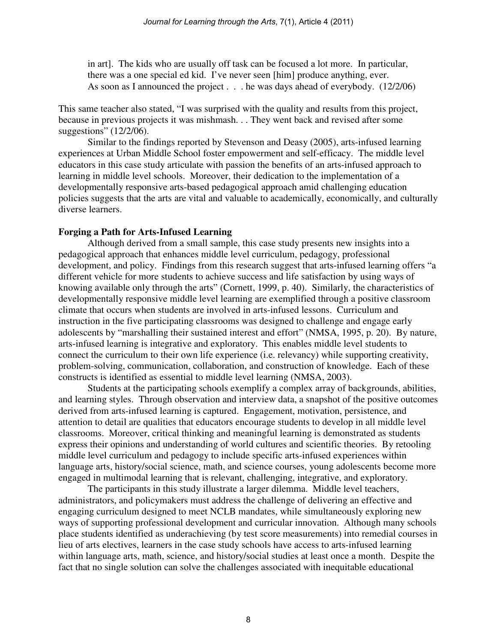in art]. The kids who are usually off task can be focused a lot more. In particular, there was a one special ed kid. I've never seen [him] produce anything, ever. As soon as I announced the project . . . he was days ahead of everybody. (12/2/06)

This same teacher also stated, "I was surprised with the quality and results from this project, because in previous projects it was mishmash. . . They went back and revised after some suggestions" (12/2/06).

 Similar to the findings reported by Stevenson and Deasy (2005), arts-infused learning experiences at Urban Middle School foster empowerment and self-efficacy. The middle level educators in this case study articulate with passion the benefits of an arts-infused approach to learning in middle level schools. Moreover, their dedication to the implementation of a developmentally responsive arts-based pedagogical approach amid challenging education policies suggests that the arts are vital and valuable to academically, economically, and culturally diverse learners.

## **Forging a Path for Arts-Infused Learning**

Although derived from a small sample, this case study presents new insights into a pedagogical approach that enhances middle level curriculum, pedagogy, professional development, and policy. Findings from this research suggest that arts-infused learning offers "a different vehicle for more students to achieve success and life satisfaction by using ways of knowing available only through the arts" (Cornett, 1999, p. 40). Similarly, the characteristics of developmentally responsive middle level learning are exemplified through a positive classroom climate that occurs when students are involved in arts-infused lessons. Curriculum and instruction in the five participating classrooms was designed to challenge and engage early adolescents by "marshalling their sustained interest and effort" (NMSA, 1995, p. 20). By nature, arts-infused learning is integrative and exploratory. This enables middle level students to connect the curriculum to their own life experience (i.e. relevancy) while supporting creativity, problem-solving, communication, collaboration, and construction of knowledge. Each of these constructs is identified as essential to middle level learning (NMSA, 2003).

 Students at the participating schools exemplify a complex array of backgrounds, abilities, and learning styles. Through observation and interview data, a snapshot of the positive outcomes derived from arts-infused learning is captured. Engagement, motivation, persistence, and attention to detail are qualities that educators encourage students to develop in all middle level classrooms. Moreover, critical thinking and meaningful learning is demonstrated as students express their opinions and understanding of world cultures and scientific theories. By retooling middle level curriculum and pedagogy to include specific arts-infused experiences within language arts, history/social science, math, and science courses, young adolescents become more engaged in multimodal learning that is relevant, challenging, integrative, and exploratory.

 The participants in this study illustrate a larger dilemma. Middle level teachers, administrators, and policymakers must address the challenge of delivering an effective and engaging curriculum designed to meet NCLB mandates, while simultaneously exploring new ways of supporting professional development and curricular innovation. Although many schools place students identified as underachieving (by test score measurements) into remedial courses in lieu of arts electives, learners in the case study schools have access to arts-infused learning within language arts, math, science, and history/social studies at least once a month. Despite the fact that no single solution can solve the challenges associated with inequitable educational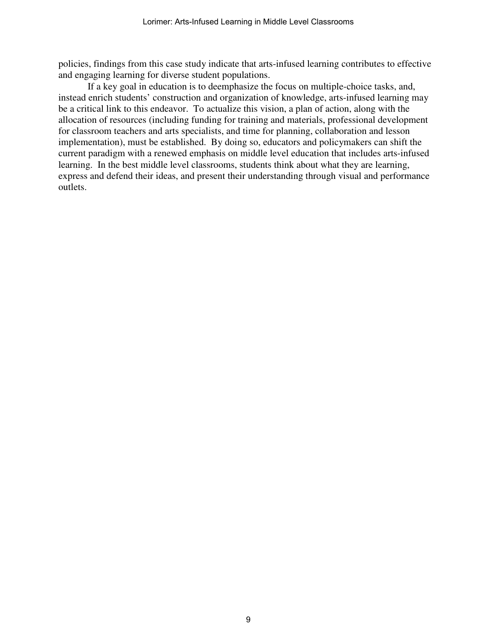policies, findings from this case study indicate that arts-infused learning contributes to effective and engaging learning for diverse student populations.

 If a key goal in education is to deemphasize the focus on multiple-choice tasks, and, instead enrich students' construction and organization of knowledge, arts-infused learning may be a critical link to this endeavor. To actualize this vision, a plan of action, along with the allocation of resources (including funding for training and materials, professional development for classroom teachers and arts specialists, and time for planning, collaboration and lesson implementation), must be established. By doing so, educators and policymakers can shift the current paradigm with a renewed emphasis on middle level education that includes arts-infused learning. In the best middle level classrooms, students think about what they are learning, express and defend their ideas, and present their understanding through visual and performance outlets.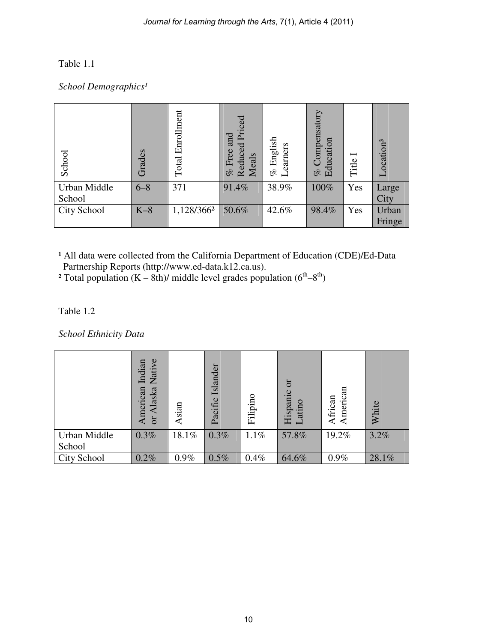# Table 1.1

# School Demographics<sup>1</sup>

| School                 | Grades  | Enrollment<br>Total | Reduced Priced<br>and<br>Free<br><b>Meals</b><br>olo | English<br>earners<br>olo<br>$\overline{\phantom{0}}$ | Compensatory<br>Education<br>olo | Title | Location <sup>3</sup> |
|------------------------|---------|---------------------|------------------------------------------------------|-------------------------------------------------------|----------------------------------|-------|-----------------------|
| Urban Middle<br>School | $6 - 8$ | 371                 | 91.4%                                                | 38.9%                                                 | 100%                             | Yes   | Large<br>City         |
| <b>City School</b>     | $K-8$   | 1,128/3662          | 50.6%                                                | 42.6%                                                 | 98.4%                            | Yes   | Urban<br>Fringe       |

<sup>1</sup> All data were collected from the California Department of Education (CDE)/Ed-Data Partnership Reports (http://www.ed-data.k12.ca.us).

<sup>2</sup> Total population  $(K - 8th)$ / middle level grades population  $(6<sup>th</sup>-8<sup>th</sup>)$ 

# Table 1.2

*School Ethnicity Data* 

|                        | ye<br>Indian<br>äi<br>$\overline{\mathsf{z}}$<br>American<br>Alaska<br>ð | Asian | Islander<br>Pacific | Filipino | ð<br>Hispanic<br>atino | American<br>African | White |
|------------------------|--------------------------------------------------------------------------|-------|---------------------|----------|------------------------|---------------------|-------|
| Urban Middle<br>School | 0.3%                                                                     | 18.1% | 0.3%                | 1.1%     | 57.8%                  | 19.2%               | 3.2%  |
| <b>City School</b>     | 0.2%                                                                     | 0.9%  | 0.5%                | 0.4%     | 64.6%                  | $0.9\%$             | 28.1% |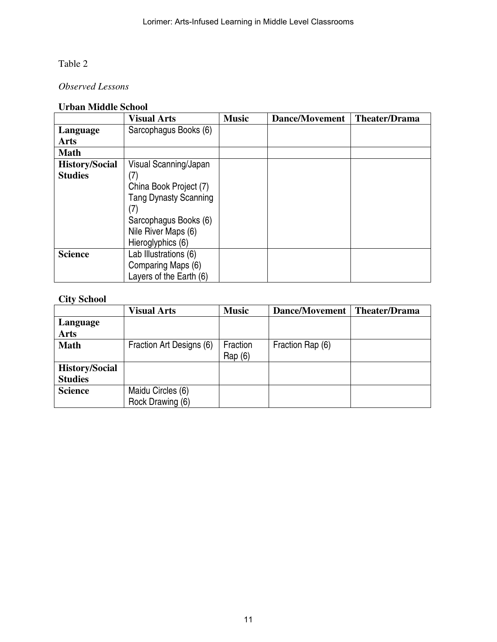# Table 2

# *Observed Lessons*

# **Urban Middle School**

|                       | <b>Visual Arts</b>           | <b>Music</b> | Dance/Movement | <b>Theater/Drama</b> |
|-----------------------|------------------------------|--------------|----------------|----------------------|
| Language              | Sarcophagus Books (6)        |              |                |                      |
| <b>Arts</b>           |                              |              |                |                      |
| <b>Math</b>           |                              |              |                |                      |
| <b>History/Social</b> | Visual Scanning/Japan        |              |                |                      |
| <b>Studies</b>        | (7)                          |              |                |                      |
|                       | China Book Project (7)       |              |                |                      |
|                       | <b>Tang Dynasty Scanning</b> |              |                |                      |
|                       | (7)                          |              |                |                      |
|                       | Sarcophagus Books (6)        |              |                |                      |
|                       | Nile River Maps (6)          |              |                |                      |
|                       | Hieroglyphics (6)            |              |                |                      |
| <b>Science</b>        | Lab Illustrations (6)        |              |                |                      |
|                       | Comparing Maps (6)           |              |                |                      |
|                       | Layers of the Earth (6)      |              |                |                      |

# **City School**

|                       | <b>Visual Arts</b>       | <b>Music</b> | Dance/Movement   | <b>Theater/Drama</b> |
|-----------------------|--------------------------|--------------|------------------|----------------------|
| Language              |                          |              |                  |                      |
| <b>Arts</b>           |                          |              |                  |                      |
| <b>Math</b>           | Fraction Art Designs (6) | Fraction     | Fraction Rap (6) |                      |
|                       |                          | Rap(6)       |                  |                      |
| <b>History/Social</b> |                          |              |                  |                      |
| <b>Studies</b>        |                          |              |                  |                      |
| <b>Science</b>        | Maidu Circles (6)        |              |                  |                      |
|                       | Rock Drawing (6)         |              |                  |                      |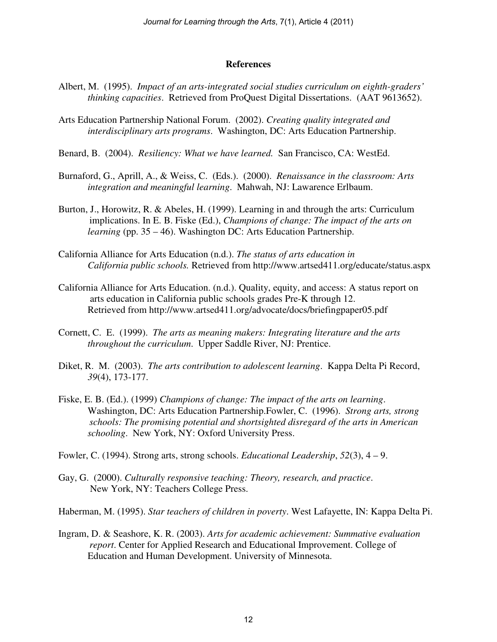#### **References**

- Albert, M. (1995). *Impact of an arts-integrated social studies curriculum on eighth-graders' thinking capacities*. Retrieved from ProQuest Digital Dissertations. (AAT 9613652).
- Arts Education Partnership National Forum. (2002). *Creating quality integrated and interdisciplinary arts programs*. Washington, DC: Arts Education Partnership.
- Benard, B. (2004). *Resiliency: What we have learned.* San Francisco, CA: WestEd.
- Burnaford, G., Aprill, A., & Weiss, C. (Eds.). (2000). *Renaissance in the classroom: Arts integration and meaningful learning*. Mahwah, NJ: Lawarence Erlbaum.
- Burton, J., Horowitz, R. & Abeles, H. (1999). Learning in and through the arts: Curriculum implications. In E. B. Fiske (Ed.), *Champions of change: The impact of the arts on learning* (pp. 35 – 46). Washington DC: Arts Education Partnership.
- California Alliance for Arts Education (n.d.). *The status of arts education in California public schools.* Retrieved from http://www.artsed411.org/educate/status.aspx
- California Alliance for Arts Education. (n.d.). Quality, equity, and access: A status report on arts education in California public schools grades Pre-K through 12. Retrieved from http://www.artsed411.org/advocate/docs/briefingpaper05.pdf
- Cornett, C. E. (1999). *The arts as meaning makers: Integrating literature and the arts throughout the curriculum*. Upper Saddle River, NJ: Prentice.
- Diket, R. M. (2003). *The arts contribution to adolescent learning*. Kappa Delta Pi Record, *39*(4), 173-177.
- Fiske, E. B. (Ed.). (1999) *Champions of change: The impact of the arts on learning*. Washington, DC: Arts Education Partnership.Fowler, C. (1996). *Strong arts, strong schools: The promising potential and shortsighted disregard of the arts in American schooling*. New York, NY: Oxford University Press.
- Fowler, C. (1994). Strong arts, strong schools. *Educational Leadership*, *52*(3), 4 9.
- Gay, G. (2000). *Culturally responsive teaching: Theory, research, and practice*. New York, NY: Teachers College Press.

Haberman, M. (1995). *Star teachers of children in poverty*. West Lafayette, IN: Kappa Delta Pi.

Ingram, D. & Seashore, K. R. (2003). *Arts for academic achievement: Summative evaluation report*. Center for Applied Research and Educational Improvement. College of Education and Human Development. University of Minnesota.